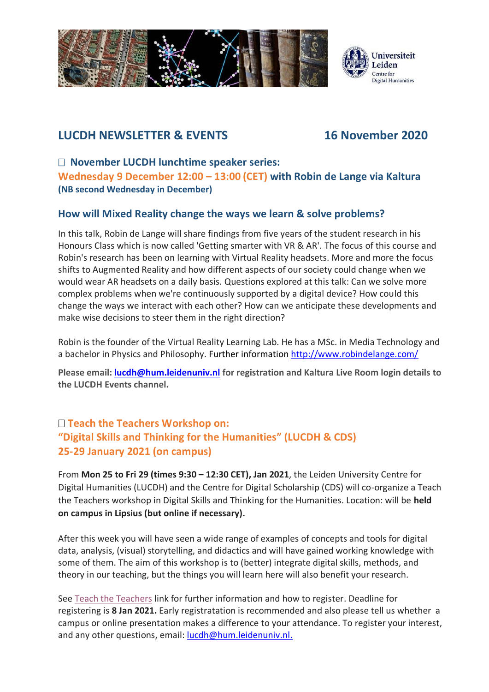

## **LUCDH NEWSLETTER & EVENTS 16 November 2020**

 **November LUCDH lunchtime speaker series: Wednesday 9 December 12:00 – 13:00 (CET) with Robin de Lange via Kaltura (NB second Wednesday in December)**

### **How will Mixed Reality change the ways we learn & solve problems?**

In this talk, Robin de Lange will share findings from five years of the student research in his Honours Class which is now called 'Getting smarter with VR & AR'. The focus of this course and Robin's research has been on learning with Virtual Reality headsets. More and more the focus shifts to Augmented Reality and how different aspects of our society could change when we would wear AR headsets on a daily basis. Questions explored at this talk: Can we solve more complex problems when we're continuously supported by a digital device? How could this change the ways we interact with each other? How can we anticipate these developments and make wise decisions to steer them in the right direction?

Robin is the founder of the Virtual Reality Learning Lab. He has a MSc. in Media Technology and a bachelor in Physics and Philosophy. Further information <http://www.robindelange.com/>

**Please email: [lucdh@hum.leidenuniv.nl](mailto:lucdh@hum.leidenuniv.nl) for registration and Kaltura Live Room login details to the LUCDH Events channel.**

## **Teach the Teachers Workshop on: "Digital Skills and Thinking for the Humanities" (LUCDH & CDS) 25-29 January 2021 (on campus)**

From **Mon 25 to Fri 29 (times 9:30 – 12:30 CET), Jan 2021**, the Leiden University Centre for Digital Humanities (LUCDH) and the Centre for Digital Scholarship (CDS) will co-organize a Teach the Teachers workshop in Digital Skills and Thinking for the Humanities. Location: will be **held on campus in Lipsius (but online if necessary).**

After this week you will have seen a wide range of examples of concepts and tools for digital data, analysis, (visual) storytelling, and didactics and will have gained working knowledge with some of them. The aim of this workshop is to (better) integrate digital skills, methods, and theory in our teaching, but the things you will learn here will also benefit your research.

See [Teach the Teachers](https://www.universiteitleiden.nl/en/events/2021/01/teach-the-teachers-workshop-in-digital-skills) link for further information and how to register. Deadline for registering is **8 Jan 2021.** Early registratation is recommended and also please tell us whether a campus or online presentation makes a difference to your attendance. To register your interest, and any other questions, email: [lucdh@hum.leidenuniv.nl.](mailto:lucdh@hum.leidenuniv.nl)